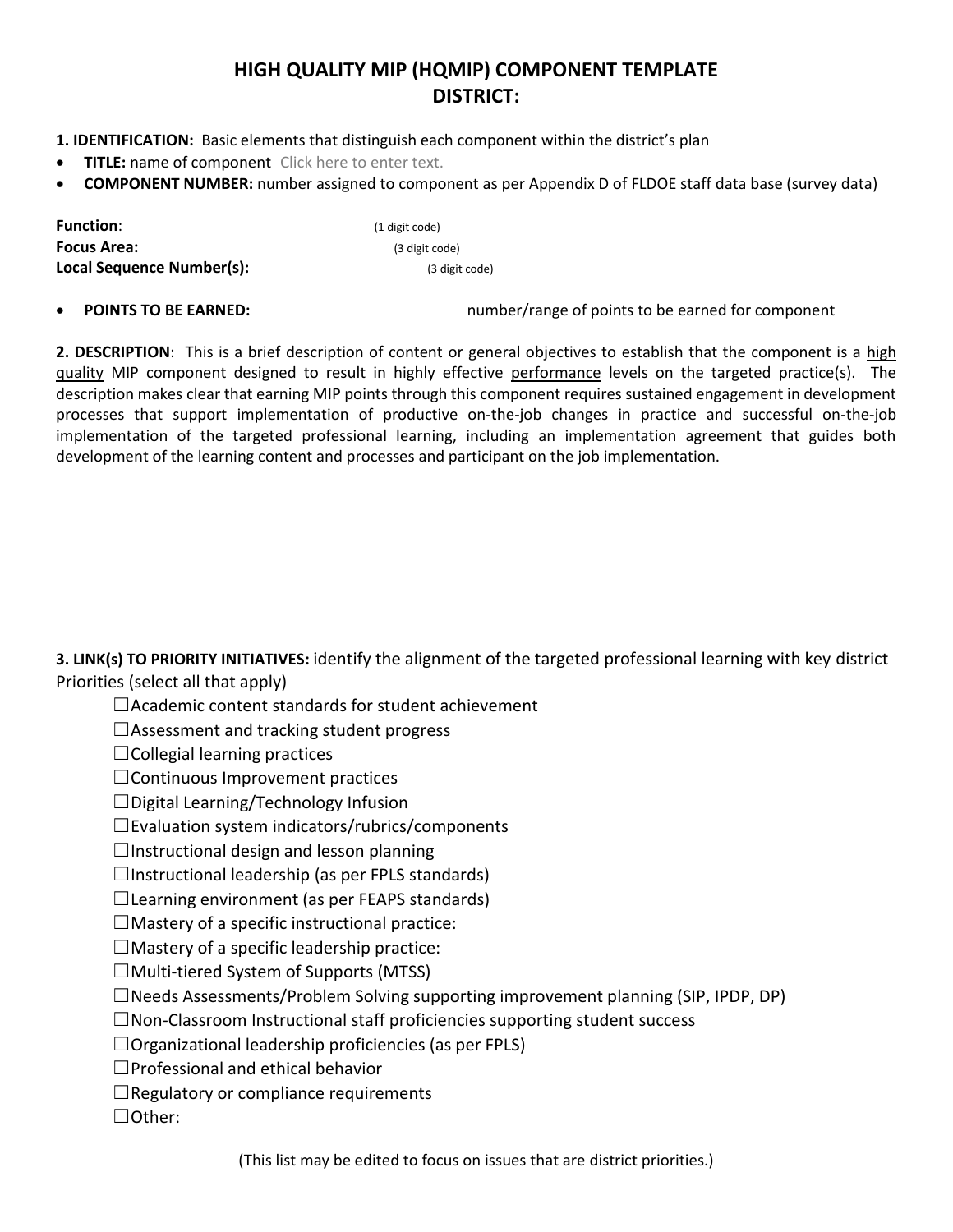## **HIGH QUALITY MIP (HQMIP) COMPONENT TEMPLATE DISTRICT:**

**1. IDENTIFICATION:** Basic elements that distinguish each component within the district's plan

- **TITLE:** name of component Click here to enter text.
- **COMPONENT NUMBER:** number assigned to component as per Appendix D of FLDOE staff data base (survey data)

| <b>Function:</b>          | (1 digit code) |  |  |
|---------------------------|----------------|--|--|
| <b>Focus Area:</b>        | (3 digit code) |  |  |
| Local Sequence Number(s): | (3 digit code) |  |  |

**POINTS TO BE EARNED: number/range of points to be earned for component** 

**2. DESCRIPTION**: This is a brief description of content or general objectives to establish that the component is a high quality MIP component designed to result in highly effective performance levels on the targeted practice(s). The description makes clear that earning MIP points through this component requires sustained engagement in development processes that support implementation of productive on-the-job changes in practice and successful on-the-job implementation of the targeted professional learning, including an implementation agreement that guides both development of the learning content and processes and participant on the job implementation.

**3. LINK(s) TO PRIORITY INITIATIVES:** identify the alignment of the targeted professional learning with key district Priorities (select all that apply)

☐Academic content standards for student achievement

☐Assessment and tracking student progress

 $\Box$ Collegial learning practices

☐Continuous Improvement practices

☐Digital Learning/Technology Infusion

 $\square$ Evaluation system indicators/rubrics/components

□Instructional design and lesson planning

 $\Box$ Instructional leadership (as per FPLS standards)

 $\Box$ Learning environment (as per FEAPS standards)

 $\Box$ Mastery of a specific instructional practice:

 $\Box$ Mastery of a specific leadership practice:

 $\Box$ Multi-tiered System of Supports (MTSS)

 $\Box$ Needs Assessments/Problem Solving supporting improvement planning (SIP, IPDP, DP)

☐Non-Classroom Instructional staff proficiencies supporting student success

 $\Box$ Organizational leadership proficiencies (as per FPLS)

☐Professional and ethical behavior

 $\Box$ Regulatory or compliance requirements

☐Other:

(This list may be edited to focus on issues that are district priorities.)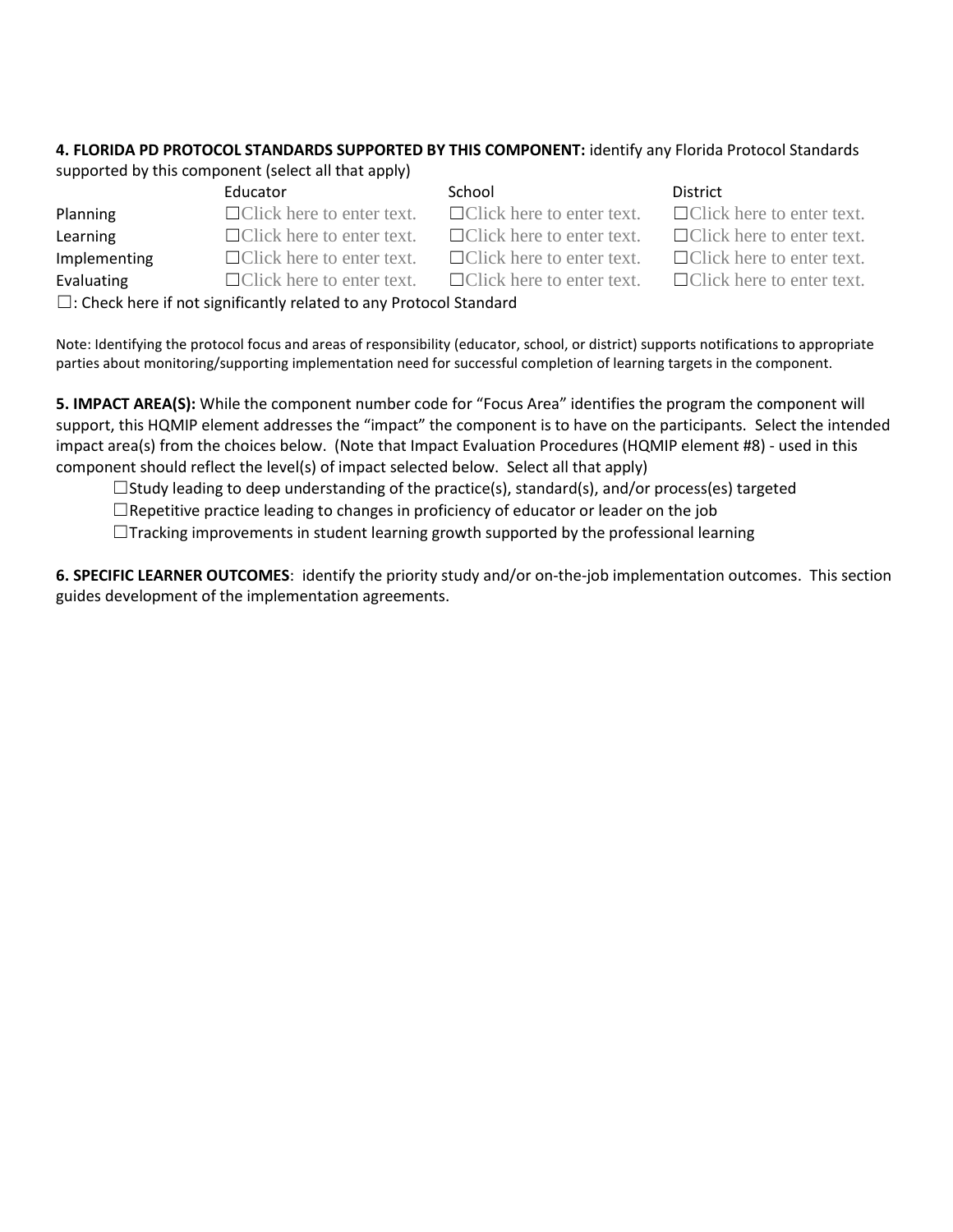## **4. FLORIDA PD PROTOCOL STANDARDS SUPPORTED BY THIS COMPONENT:** identify any Florida Protocol Standards

supported by this component (select all that apply)

|                                                                                                                                                                                                                                 | Educator                         | School                           | District    |  |  |
|---------------------------------------------------------------------------------------------------------------------------------------------------------------------------------------------------------------------------------|----------------------------------|----------------------------------|-------------|--|--|
| Planning                                                                                                                                                                                                                        | $\Box$ Click here to enter text. | $\Box$ Click here to enter text. | $\Box$ Clic |  |  |
| Learning                                                                                                                                                                                                                        | $\Box$ Click here to enter text. | $\Box$ Click here to enter text. | $\Box$ Clic |  |  |
| Implementing                                                                                                                                                                                                                    | $\Box$ Click here to enter text. | $\Box$ Click here to enter text. | $\Box$ Clic |  |  |
| Evaluating                                                                                                                                                                                                                      | $\Box$ Click here to enter text. | $\Box$ Click here to enter text. | $\Box$ Clic |  |  |
| $\Box$ . Also the second construction of the second construction of the second construction of the second second second second second second second second second second second second second second second second second secon |                                  |                                  |             |  |  |

| ichool                    |  |  |
|---------------------------|--|--|
| $\Box$ Click here to ente |  |  |
| $\Box$ Click here to ente |  |  |
|                           |  |  |

 $\Box$ Click here to enter text.  $\Box$ Click here to enter text.

 $\Box$ Click here to enter text.  $\Box$ Click here to enter text.  $\Box$ Click here to enter text.  $\Box$ Click here to enter text.

 $\Box$ Click here to enter text.  $\Box$ Click here to enter text.

 $\Box$ : Check here if not significantly related to any Protocol Standard

Note: Identifying the protocol focus and areas of responsibility (educator, school, or district) supports notifications to appropriate parties about monitoring/supporting implementation need for successful completion of learning targets in the component.

**5. IMPACT AREA(S):** While the component number code for "Focus Area" identifies the program the component will support, this HQMIP element addresses the "impact" the component is to have on the participants. Select the intended impact area(s) from the choices below. (Note that Impact Evaluation Procedures (HQMIP element #8) - used in this component should reflect the level(s) of impact selected below. Select all that apply)

 $\Box$ Study leading to deep understanding of the practice(s), standard(s), and/or process(es) targeted

 $\Box$ Repetitive practice leading to changes in proficiency of educator or leader on the job

 $\Box$ Tracking improvements in student learning growth supported by the professional learning

**6. SPECIFIC LEARNER OUTCOMES**: identify the priority study and/or on-the-job implementation outcomes. This section guides development of the implementation agreements.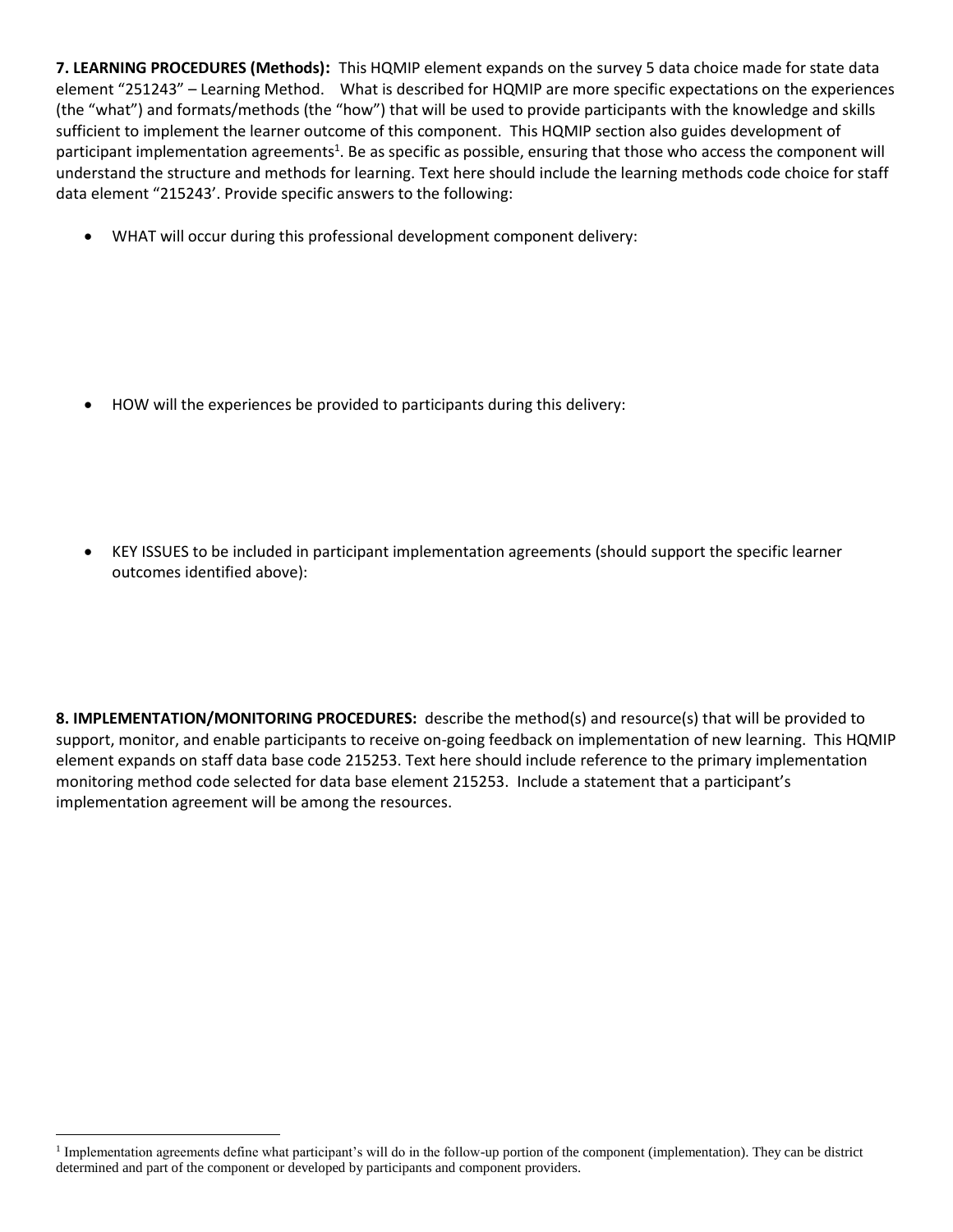**7. LEARNING PROCEDURES (Methods):** This HQMIP element expands on the survey 5 data choice made for state data element "251243" – Learning Method. What is described for HQMIP are more specific expectations on the experiences (the "what") and formats/methods (the "how") that will be used to provide participants with the knowledge and skills sufficient to implement the learner outcome of this component. This HQMIP section also guides development of participant implementation agreements<sup>1</sup>. Be as specific as possible, ensuring that those who access the component will understand the structure and methods for learning. Text here should include the learning methods code choice for staff data element "215243'. Provide specific answers to the following:

WHAT will occur during this professional development component delivery:

HOW will the experiences be provided to participants during this delivery:

 KEY ISSUES to be included in participant implementation agreements (should support the specific learner outcomes identified above):

**8. IMPLEMENTATION/MONITORING PROCEDURES:** describe the method(s) and resource(s) that will be provided to support, monitor, and enable participants to receive on-going feedback on implementation of new learning. This HQMIP element expands on staff data base code 215253. Text here should include reference to the primary implementation monitoring method code selected for data base element 215253. Include a statement that a participant's implementation agreement will be among the resources.

 $\overline{a}$ <sup>1</sup> Implementation agreements define what participant's will do in the follow-up portion of the component (implementation). They can be district determined and part of the component or developed by participants and component providers.